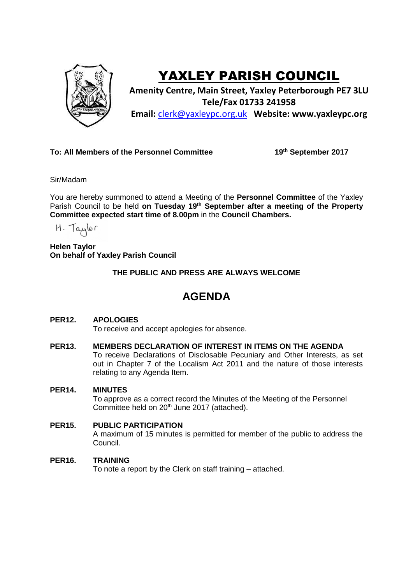

# YAXLEY PARISH COUNCIL

**Amenity Centre, Main Street, Yaxley Peterborough PE7 3LU Tele/Fax 01733 241958 Email:** [clerk@yaxleypc.org.uk](mailto:clerk@yaxleypc.org.uk) **Website: www.yaxleypc.org**

## **To: All Members of the Personnel Committee**

**th September 2017**

Sir/Madam

You are hereby summoned to attend a Meeting of the **Personnel Committee** of the Yaxley Parish Council to be held **on Tuesday 19th September after a meeting of the Property Committee expected start time of 8.00pm** in the **Council Chambers.**

H. Taylor

**Helen Taylor On behalf of Yaxley Parish Council**

**THE PUBLIC AND PRESS ARE ALWAYS WELCOME**

## **AGENDA**

### **PER12. APOLOGIES**

To receive and accept apologies for absence.

#### **PER13. MEMBERS DECLARATION OF INTEREST IN ITEMS ON THE AGENDA**

To receive Declarations of Disclosable Pecuniary and Other Interests, as set out in Chapter 7 of the Localism Act 2011 and the nature of those interests relating to any Agenda Item.

#### **PER14. MINUTES**

To approve as a correct record the Minutes of the Meeting of the Personnel Committee held on 20<sup>th</sup> June 2017 (attached).

#### **PER15. PUBLIC PARTICIPATION**

A maximum of 15 minutes is permitted for member of the public to address the Council.

#### **PER16. TRAINING**

To note a report by the Clerk on staff training – attached.